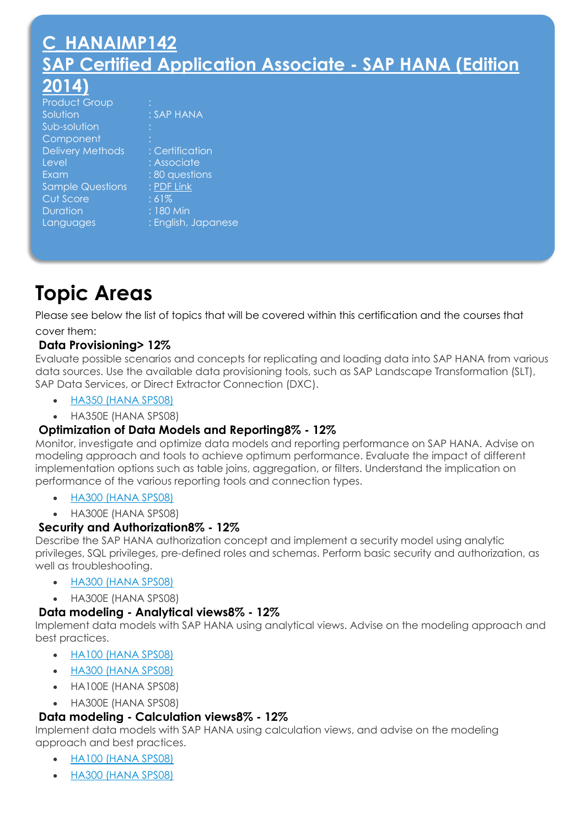# **[C\\_HANAIMP142](http://sapcertifications.ol-edu.com/HANA/C_HANAIMP142.html) [SAP Certified Application Associate -](http://sapcertifications.ol-edu.com/HANA/C_HANAIMP142.html) SAP HANA (Edition [2014\)](http://sapcertifications.ol-edu.com/HANA/C_HANAIMP142.html)**

| <b>Product Group</b>    |                     |
|-------------------------|---------------------|
| Solution                | : SAP HANA          |
| Sub-solution            |                     |
| Component               |                     |
| <b>Delivery Methods</b> | : Certification     |
| Level                   | : Associate         |
| Exam                    | : 80 questions      |
| <b>Sample Questions</b> | : PDF Link          |
| Cut Score               | :61%                |
| <b>Duration</b>         | : 180 Min           |
| Languages               | : English, Japanese |
|                         |                     |

# **Topic Areas**

Please see below the list of topics that will be covered within this certification and the courses that cover them:

# **Data Provisioning> 12%**

Evaluate possible scenarios and concepts for replicating and loading data into SAP HANA from various data sources. Use the available data provisioning tools, such as SAP Landscape Transformation (SLT), SAP Data Services, or Direct Extractor Connection (DXC).

- [HA350 \(HANA SPS08\)](http://sapcertifications.ol-edu.com/HANA/HA350.php)
- HA350E (HANA SPS08)

# **Optimization of Data Models and Reporting8% - 12%**

Monitor, investigate and optimize data models and reporting performance on SAP HANA. Advise on modeling approach and tools to achieve optimum performance. Evaluate the impact of different implementation options such as table joins, aggregation, or filters. Understand the implication on performance of the various reporting tools and connection types.

- [HA300 \(HANA SPS08\)](http://sapcertifications.ol-edu.com/HANA/HA300.php)
- HA300E (HANA SPS08)

# **Security and Authorization8% - 12%**

Describe the SAP HANA authorization concept and implement a security model using analytic privileges, SQL privileges, pre-defined roles and schemas. Perform basic security and authorization, as well as troubleshooting.

- [HA300 \(HANA SPS08\)](https://training.sap.com/shop/course/ha300-sap-hana---implementation-and-modeling-classroom-008-g-en/)
- HA300E (HANA SPS08)

# **Data modeling - Analytical views8% - 12%**

Implement data models with SAP HANA using analytical views. Advise on the modeling approach and best practices.

- [HA100 \(HANA SPS08\)](https://training.sap.com/shop/course/ha100-sap-hana---introduction-classroom-008-g-en/)
- [HA300 \(HANA SPS08\)](http://sapcertifications.ol-edu.com/HANA/HA300.php)
- HA100E (HANA SPS08)
- HA300E (HANA SPS08)

# **Data modeling - Calculation views8% - 12%**

Implement data models with SAP HANA using calculation views, and advise on the modeling approach and best practices.

- [HA100 \(HANA SPS08\)](http://sapcertifications.ol-edu.com/HANA/HA100.php)
- [HA300 \(HANA SPS08\)](http://sapcertifications.ol-edu.com/HANA/HA300.html)